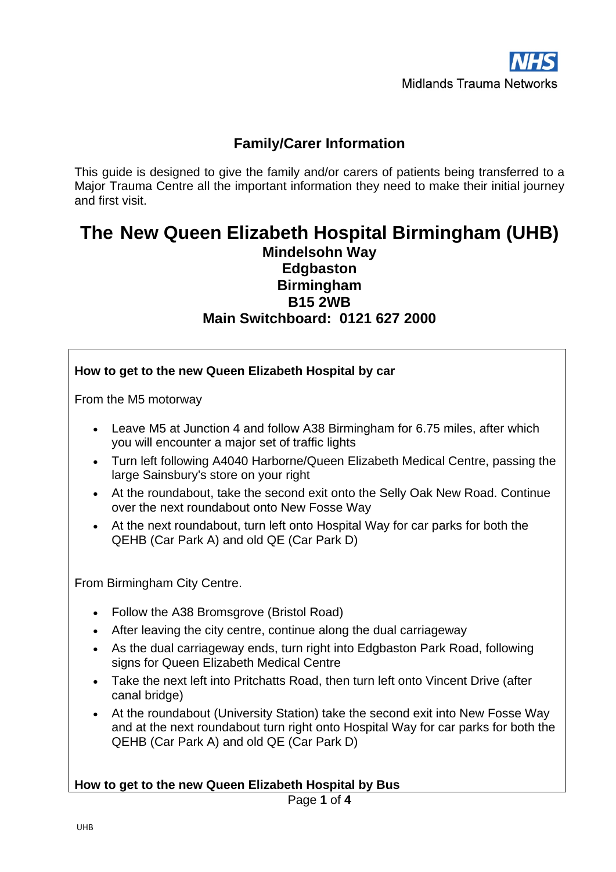# **Family/Carer Information**

This guide is designed to give the family and/or carers of patients being transferred to a Major Trauma Centre all the important information they need to make their initial journey and first visit.

# **The New Queen Elizabeth Hospital Birmingham (UHB) Mindelsohn Way Edgbaston Birmingham B15 2WB Main Switchboard: 0121 627 2000**

**How to get to the new Queen Elizabeth Hospital by car**

| From the M5 motorway                                                                                                                                                                                                                                                                                                                                                                                                                                                                                                                                                                                                      |  |  |  |
|---------------------------------------------------------------------------------------------------------------------------------------------------------------------------------------------------------------------------------------------------------------------------------------------------------------------------------------------------------------------------------------------------------------------------------------------------------------------------------------------------------------------------------------------------------------------------------------------------------------------------|--|--|--|
| Leave M5 at Junction 4 and follow A38 Birmingham for 6.75 miles, after which<br>$\bullet$<br>you will encounter a major set of traffic lights<br>Turn left following A4040 Harborne/Queen Elizabeth Medical Centre, passing the<br>$\bullet$<br>large Sainsbury's store on your right<br>At the roundabout, take the second exit onto the Selly Oak New Road. Continue<br>$\bullet$<br>over the next roundabout onto New Fosse Way<br>At the next roundabout, turn left onto Hospital Way for car parks for both the<br>QEHB (Car Park A) and old QE (Car Park D)                                                         |  |  |  |
| From Birmingham City Centre.                                                                                                                                                                                                                                                                                                                                                                                                                                                                                                                                                                                              |  |  |  |
| Follow the A38 Bromsgrove (Bristol Road)<br>After leaving the city centre, continue along the dual carriageway<br>$\bullet$<br>As the dual carriageway ends, turn right into Edgbaston Park Road, following<br>$\bullet$<br>signs for Queen Elizabeth Medical Centre<br>Take the next left into Pritchatts Road, then turn left onto Vincent Drive (after<br>$\bullet$<br>canal bridge)<br>At the roundabout (University Station) take the second exit into New Fosse Way<br>$\bullet$<br>and at the next roundabout turn right onto Hospital Way for car parks for both the<br>QEHB (Car Park A) and old QE (Car Park D) |  |  |  |
| How to get to the new Queen Elizabeth Hospital by Bus<br>Page 1 of 4                                                                                                                                                                                                                                                                                                                                                                                                                                                                                                                                                      |  |  |  |
| <b>UHB</b>                                                                                                                                                                                                                                                                                                                                                                                                                                                                                                                                                                                                                |  |  |  |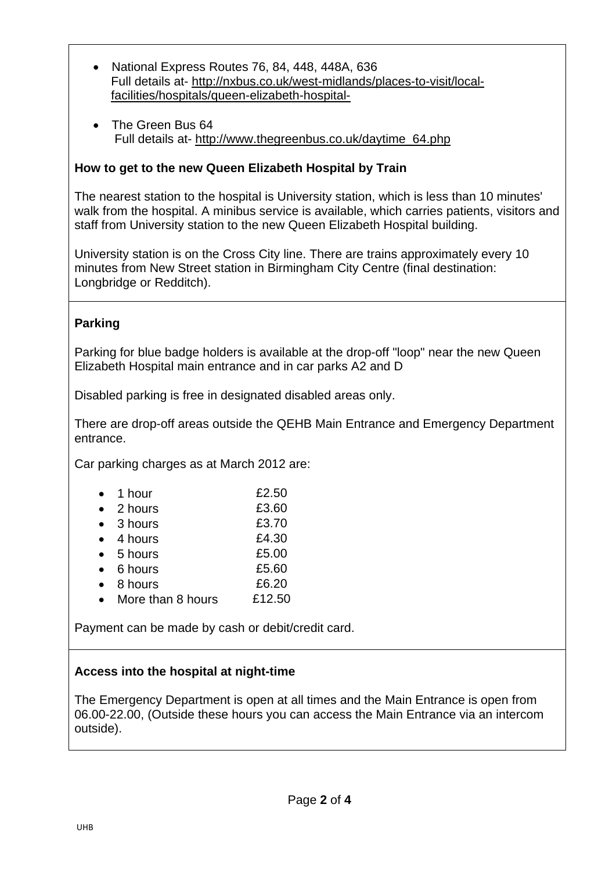- National Express Routes 76, 84, 448, 448A, 636 Full details at- [http://nxbus.co.uk/west-midlands/places-to-visit/local](http://nxbus.co.uk/west-midlands/places-to-visit/local-facilities/hospitals/queen-elizabeth-hospital-)[facilities/hospitals/queen-elizabeth-hospital-](http://nxbus.co.uk/west-midlands/places-to-visit/local-facilities/hospitals/queen-elizabeth-hospital-)
- The Green Bus 64 Full details at- [http://www.thegreenbus.co.uk/daytime\\_64.php](http://www.thegreenbus.co.uk/daytime_64.php)

# **How to get to the new Queen Elizabeth Hospital by Train**

The nearest station to the hospital is University station, which is less than 10 minutes' walk from the hospital. A minibus service is available, which carries patients, visitors and staff from University station to the new Queen Elizabeth Hospital building.

University station is on the Cross City line. There are trains approximately every 10 minutes from New Street station in Birmingham City Centre (final destination: Longbridge or Redditch).

## **Parking**

Parking for blue badge holders is available at the drop-off "loop" near the new Queen Elizabeth Hospital main entrance and in car parks A2 and D

Disabled parking is free in designated disabled areas only.

There are drop-off areas outside the QEHB Main Entrance and Emergency Department entrance.

Car parking charges as at March 2012 are:

| 2 hours<br>3 hours<br>4 hours<br>5 hours<br>6 hours<br>8 hours<br>More than 8 hours | 1 hour | £2.50  |
|-------------------------------------------------------------------------------------|--------|--------|
|                                                                                     |        | £3.60  |
|                                                                                     |        | £3.70  |
|                                                                                     |        | £4.30  |
|                                                                                     |        | £5.00  |
|                                                                                     |        | £5.60  |
|                                                                                     |        | £6.20  |
|                                                                                     |        | £12.50 |

Payment can be made by cash or debit/credit card.

#### **Access into the hospital at night-time**

The Emergency Department is open at all times and the Main Entrance is open from 06.00-22.00, (Outside these hours you can access the Main Entrance via an intercom outside).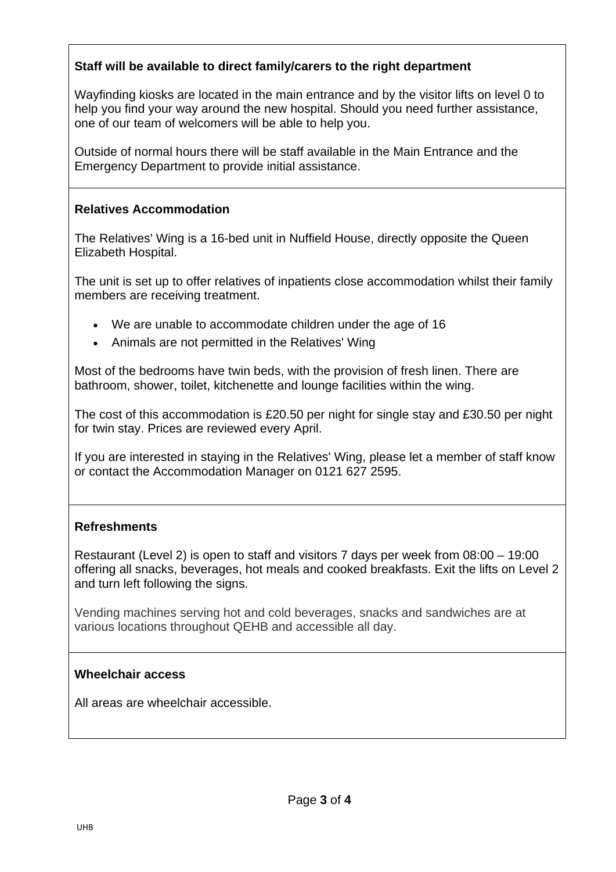# **Staff will be available to direct family/carers to the right department**

Wayfinding kiosks are located in the main entrance and by the visitor lifts on level 0 to help you find your way around the new hospital. Should you need further assistance, one of our team of welcomers will be able to help you.

Outside of normal hours there will be staff available in the Main Entrance and the Emergency Department to provide initial assistance.

### **Relatives Accommodation**

The Relatives' Wing is a 16-bed unit in Nuffield House, directly opposite the Queen Elizabeth Hospital.

The unit is set up to offer relatives of inpatients close accommodation whilst their family members are receiving treatment.

- We are unable to accommodate children under the age of 16
- Animals are not permitted in the Relatives' Wing

Most of the bedrooms have twin beds, with the provision of fresh linen. There are bathroom, shower, toilet, kitchenette and lounge facilities within the wing.

The cost of this accommodation is £20.50 per night for single stay and £30.50 per night for twin stay. Prices are reviewed every April.

If you are interested in staying in the Relatives' Wing, please let a member of staff know or contact the Accommodation Manager on 0121 627 2595.

#### **Refreshments**

Restaurant (Level 2) is open to staff and visitors 7 days per week from 08:00 – 19:00 offering all snacks, beverages, hot meals and cooked breakfasts. Exit the lifts on Level 2 and turn left following the signs.

Vending machines serving hot and cold beverages, snacks and sandwiches are at various locations throughout QEHB and accessible all day.

#### **Wheelchair access**

All areas are wheelchair accessible.